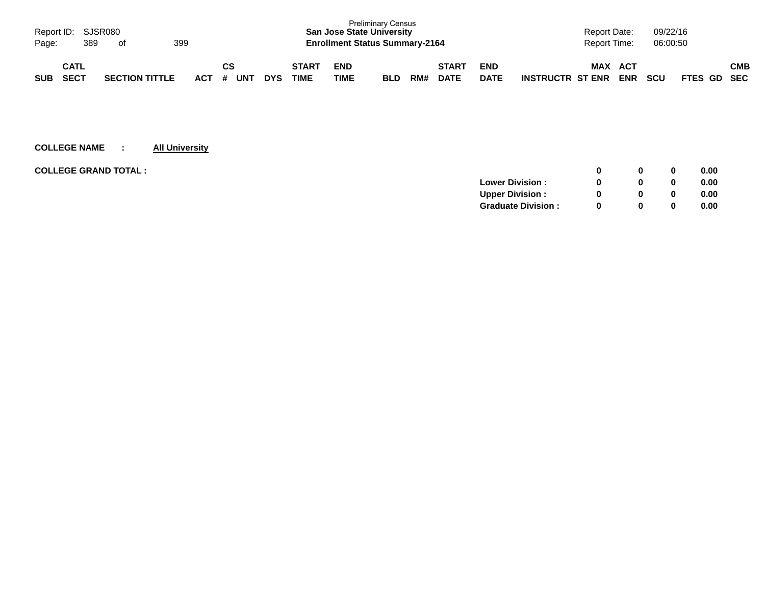| Page:      | Report ID: SJSR080<br>389  | of |                       | 399 |     |                       |            |                             | <b>San Jose State University</b><br><b>Enrollment Status Summary-2164</b> | <b>Preliminary Census</b> |     |                             |                           |                         | <b>Report Date:</b><br>Report Time: |                   | 09/22/16<br>06:00:50 |             |     |
|------------|----------------------------|----|-----------------------|-----|-----|-----------------------|------------|-----------------------------|---------------------------------------------------------------------------|---------------------------|-----|-----------------------------|---------------------------|-------------------------|-------------------------------------|-------------------|----------------------|-------------|-----|
| <b>SUB</b> | <b>CATL</b><br><b>SECT</b> |    | <b>SECTION TITTLE</b> |     | ACT | СS<br><b>UNT</b><br># | <b>DYS</b> | <b>START</b><br><b>TIME</b> | <b>END</b><br>TIME                                                        | <b>BLD</b>                | RM# | <b>START</b><br><b>DATE</b> | <b>END</b><br><b>DATE</b> | <b>INSTRUCTR ST ENR</b> | <b>MAX</b>                          | ACT<br><b>ENR</b> | <b>SCU</b>           | FTES GD SEC | СМВ |

| <b>COLLEGE GRAND TOTAL :</b> |                           |          | 0        | 0.00 |
|------------------------------|---------------------------|----------|----------|------|
|                              | <b>Lower Division:</b>    |          | $\bf{0}$ | 0.00 |
|                              | <b>Upper Division:</b>    |          | 0        | 0.00 |
|                              | <b>Graduate Division:</b> | $\Omega$ | 0        | 0.00 |
|                              |                           |          |          |      |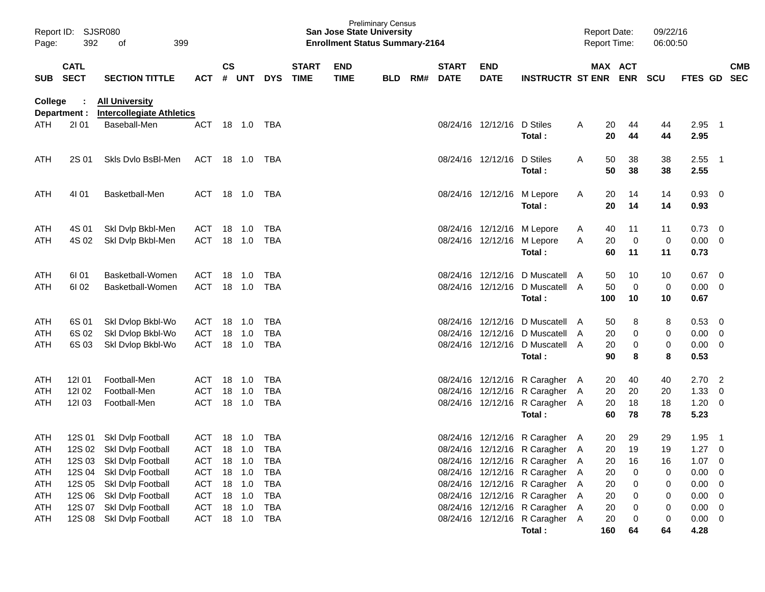| Page:                           | Report ID: SJSR080<br>392<br>399<br>οf |                                                                                                              |                                                          |           |                            |                                               |                             | <b>San Jose State University</b><br><b>Enrollment Status Summary-2164</b> | <b>Preliminary Census</b> |     |                             |                                                          |                                                                                                                                      |        | <b>Report Date:</b><br>Report Time: |                          | 09/22/16<br>06:00:50 |                                     |                                                                                          |            |
|---------------------------------|----------------------------------------|--------------------------------------------------------------------------------------------------------------|----------------------------------------------------------|-----------|----------------------------|-----------------------------------------------|-----------------------------|---------------------------------------------------------------------------|---------------------------|-----|-----------------------------|----------------------------------------------------------|--------------------------------------------------------------------------------------------------------------------------------------|--------|-------------------------------------|--------------------------|----------------------|-------------------------------------|------------------------------------------------------------------------------------------|------------|
| <b>SUB</b>                      | <b>CATL</b><br><b>SECT</b>             | <b>SECTION TITTLE</b>                                                                                        | <b>ACT</b>                                               | <b>CS</b> | # UNT                      | <b>DYS</b>                                    | <b>START</b><br><b>TIME</b> | <b>END</b><br><b>TIME</b>                                                 | <b>BLD</b>                | RM# | <b>START</b><br><b>DATE</b> | <b>END</b><br><b>DATE</b>                                | <b>INSTRUCTR ST ENR ENR</b>                                                                                                          |        | MAX ACT                             |                          | <b>SCU</b>           | FTES GD SEC                         |                                                                                          | <b>CMB</b> |
| <b>College</b>                  | Department :                           | <b>All University</b><br><b>Intercollegiate Athletics</b>                                                    |                                                          |           |                            |                                               |                             |                                                                           |                           |     |                             |                                                          |                                                                                                                                      |        |                                     |                          |                      |                                     |                                                                                          |            |
| <b>ATH</b>                      | 2101                                   | Baseball-Men                                                                                                 | <b>ACT</b>                                               |           | 18 1.0                     | TBA                                           |                             |                                                                           |                           |     |                             | 08/24/16 12/12/16 D Stiles                               | Total:                                                                                                                               | A      | 20<br>20                            | 44<br>44                 | 44<br>44             | 2.95<br>2.95                        | $\overline{\phantom{1}}$                                                                 |            |
| <b>ATH</b>                      | 2S 01                                  | Skls Dylo BsBI-Men                                                                                           | ACT 18 1.0 TBA                                           |           |                            |                                               |                             |                                                                           |                           |     |                             | 08/24/16 12/12/16                                        | D Stiles<br>Total:                                                                                                                   | A      | 50<br>50                            | 38<br>38                 | 38<br>38             | 2.55<br>2.55                        | - 1                                                                                      |            |
| ATH                             | 4101                                   | Basketball-Men                                                                                               | ACT 18 1.0 TBA                                           |           |                            |                                               |                             |                                                                           |                           |     |                             | 08/24/16 12/12/16 M Lepore                               | Total:                                                                                                                               | A      | 20<br>20                            | 14<br>14                 | 14<br>14             | 0.93<br>0.93                        | $\overline{\phantom{0}}$                                                                 |            |
| ATH<br>ATH                      | 4S 01<br>4S 02                         | Skl Dvlp Bkbl-Men<br>Ski Dvip Bkbl-Men                                                                       | ACT 18 1.0<br>ACT                                        |           | 18 1.0                     | TBA<br>TBA                                    |                             |                                                                           |                           |     |                             | 08/24/16 12/12/16 M Lepore<br>08/24/16 12/12/16 M Lepore | Total:                                                                                                                               | A<br>A | 40<br>20<br>60                      | 11<br>$\mathbf 0$<br>11  | 11<br>0<br>11        | 0.73<br>0.00<br>0.73                | $\overline{\mathbf{0}}$<br>$\overline{\mathbf{0}}$                                       |            |
| ATH<br><b>ATH</b>               | 61 01<br>61 02                         | Basketball-Women<br>Basketball-Women                                                                         | ACT<br>ACT                                               |           | 18 1.0<br>18 1.0           | TBA<br>TBA                                    |                             |                                                                           |                           |     |                             |                                                          | 08/24/16 12/12/16 D Muscatell A<br>08/24/16 12/12/16 D Muscatell A<br>Total:                                                         |        | 50<br>50<br>100                     | 10<br>$\mathbf 0$<br>10  | 10<br>0<br>10        | 0.67<br>0.00<br>0.67                | $\overline{\mathbf{0}}$<br>$\overline{\mathbf{0}}$                                       |            |
| ATH<br>ATH<br>ATH               | 6S 01<br>6S 02<br>6S 03                | Skl Dvlop Bkbl-Wo<br>Skl Dvlop Bkbl-Wo<br>Skl Dvlop Bkbl-Wo                                                  | ACT<br>ACT<br><b>ACT</b>                                 |           | 18 1.0<br>18 1.0<br>18 1.0 | TBA<br><b>TBA</b><br>TBA                      |                             |                                                                           |                           |     |                             |                                                          | 08/24/16 12/12/16 D Muscatell A<br>08/24/16 12/12/16 D Muscatell A<br>08/24/16 12/12/16 D Muscatell A<br>Total:                      |        | 50<br>20<br>20<br>90                | 8<br>0<br>$\pmb{0}$<br>8 | 8<br>0<br>0<br>8     | 0.53<br>0.00<br>0.00<br>0.53        | - 0<br>$\overline{\mathbf{0}}$<br>$\overline{\mathbf{0}}$                                |            |
| ATH<br>ATH<br>ATH               | 121 01<br>12102<br>12103               | Football-Men<br>Football-Men<br>Football-Men                                                                 | ACT<br>ACT<br>ACT                                        | 18  1.0   | 18 1.0<br>18 1.0           | TBA<br><b>TBA</b><br><b>TBA</b>               |                             |                                                                           |                           |     |                             |                                                          | 08/24/16 12/12/16 R Caragher A<br>08/24/16 12/12/16 R Caragher A<br>08/24/16 12/12/16 R Caragher A<br>Total:                         |        | 20<br>20<br>20<br>60                | 40<br>20<br>18<br>78     | 40<br>20<br>18<br>78 | 2.70<br>1.33<br>1.20<br>5.23        | $\overline{2}$<br>0<br>$\overline{\mathbf{0}}$                                           |            |
| ATH<br><b>ATH</b><br>ATH<br>ATH | 12S 01                                 | Skl Dvlp Football<br>12S 02 Skl Dvlp Football<br>12S 03 Skl Dvlp Football<br>12S 04 Skl Dvlp Football        | ACT<br><b>ACT</b><br>ACT 18 1.0<br>ACT 18 1.0            |           | 18 1.0<br>18 1.0           | TBA<br><b>TBA</b><br><b>TBA</b><br><b>TBA</b> |                             |                                                                           |                           |     |                             |                                                          | 08/24/16 12/12/16 R Caragher A<br>08/24/16 12/12/16 R Caragher A<br>08/24/16 12/12/16 R Caragher A<br>08/24/16 12/12/16 R Caragher A |        | 20<br>20<br>20<br>20                | 29<br>19<br>16<br>0      | 29<br>19<br>16<br>0  | 1.95<br>1.27<br>1.07<br>0.00        | $\overline{\phantom{1}}$<br>$\overline{0}$<br>$\overline{\phantom{0}}$<br>$\overline{0}$ |            |
| ATH<br>ATH<br>ATH<br><b>ATH</b> |                                        | 12S 05 Skl Dvlp Football<br>12S 06 Skl Dvlp Football<br>12S 07 Skl Dvlp Football<br>12S 08 Skl Dvlp Football | ACT 18 1.0<br>ACT 18 1.0<br>ACT 18 1.0<br>ACT 18 1.0 TBA |           |                            | <b>TBA</b><br><b>TBA</b><br><b>TBA</b>        |                             |                                                                           |                           |     |                             |                                                          | 08/24/16 12/12/16 R Caragher A<br>08/24/16 12/12/16 R Caragher A<br>08/24/16 12/12/16 R Caragher A<br>08/24/16 12/12/16 R Caragher A |        | 20<br>20<br>20<br>20                | 0<br>0<br>0<br>0         | 0<br>0<br>0<br>0     | 0.00<br>0.00<br>0.00<br>$0.00 \t 0$ | - 0<br>- 0<br>- 0                                                                        |            |
|                                 |                                        |                                                                                                              |                                                          |           |                            |                                               |                             |                                                                           |                           |     |                             |                                                          | Total:                                                                                                                               |        | 160                                 | 64                       | 64                   | 4.28                                |                                                                                          |            |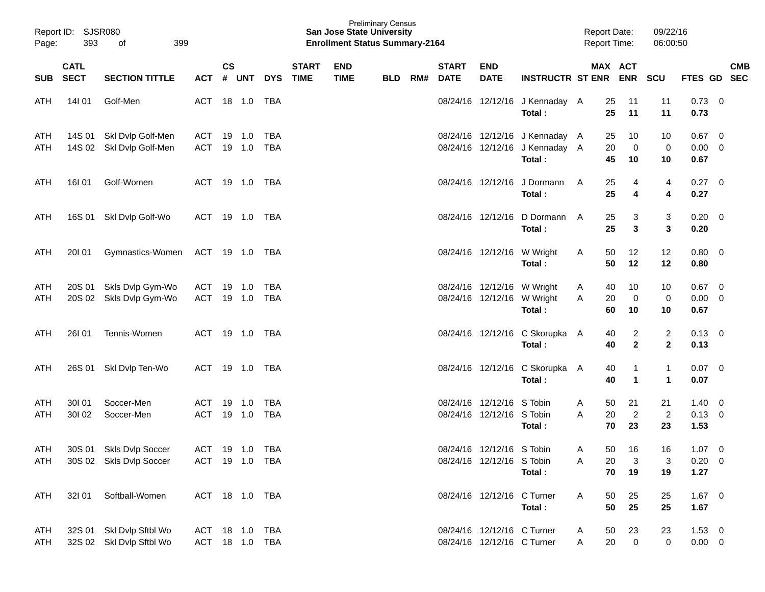| Page:      | Report ID: SJSR080<br>393<br>399<br>of |                                                      |                                  |               |                  |                   |                             | <b>San Jose State University</b><br><b>Enrollment Status Summary-2164</b> | <b>Preliminary Census</b> |     |                             |                                                          |                                                                            | <b>Report Date:</b><br><b>Report Time:</b> |                                           | 09/22/16<br>06:00:50                    |                                   |                           |
|------------|----------------------------------------|------------------------------------------------------|----------------------------------|---------------|------------------|-------------------|-----------------------------|---------------------------------------------------------------------------|---------------------------|-----|-----------------------------|----------------------------------------------------------|----------------------------------------------------------------------------|--------------------------------------------|-------------------------------------------|-----------------------------------------|-----------------------------------|---------------------------|
|            | <b>CATL</b><br>SUB SECT                | <b>SECTION TITTLE</b>                                |                                  | $\mathsf{cs}$ |                  | ACT # UNT DYS     | <b>START</b><br><b>TIME</b> | <b>END</b><br><b>TIME</b>                                                 | <b>BLD</b>                | RM# | <b>START</b><br><b>DATE</b> | <b>END</b><br><b>DATE</b>                                | INSTRUCTR ST ENR ENR SCU                                                   |                                            | MAX ACT                                   |                                         |                                   | <b>CMB</b><br>FTES GD SEC |
| ATH        | 14101                                  | Golf-Men                                             | ACT                              |               | 18 1.0           | TBA               |                             |                                                                           |                           |     |                             |                                                          | 08/24/16 12/12/16 J Kennaday A<br>Total:                                   | 25<br>25                                   | 11<br>11                                  | 11<br>11                                | $0.73$ 0<br>0.73                  |                           |
| ATH<br>ATH |                                        | 14S 01 Skl Dvlp Golf-Men<br>14S 02 Skl Dvlp Golf-Men | ACT<br><b>ACT</b>                |               | 19 1.0<br>19 1.0 | TBA<br>TBA        |                             |                                                                           |                           |     |                             |                                                          | 08/24/16 12/12/16 J Kennaday A<br>08/24/16 12/12/16 J Kennaday A<br>Total: | 25<br>20<br>45                             | 10<br>$\overline{0}$<br>10                | 10<br>0<br>10                           | $0.67$ 0<br>$0.00 \t 0$<br>0.67   |                           |
| ATH        | 16I 01                                 | Golf-Women                                           | ACT                              |               | 19 1.0 TBA       |                   |                             |                                                                           |                           |     |                             |                                                          | 08/24/16 12/12/16 J Dormann<br>Total:                                      | A<br>25<br>25                              | 4<br>4                                    | 4<br>4                                  | $0.27$ 0<br>0.27                  |                           |
| ATH        |                                        | 16S 01 SkI Dvlp Golf-Wo                              | ACT                              |               | 19 1.0 TBA       |                   |                             |                                                                           |                           |     |                             |                                                          | 08/24/16 12/12/16 D Dormann A<br>Total:                                    | 25<br>25                                   | 3<br>3                                    | 3<br>3                                  | $0.20 \ 0$<br>0.20                |                           |
| ATH        | 20I 01                                 | Gymnastics-Women                                     | ACT 19 1.0 TBA                   |               |                  |                   |                             |                                                                           |                           |     |                             |                                                          | 08/24/16 12/12/16 W Wright<br>Total:                                       | 50<br>A<br>50                              | 12<br>12                                  | 12<br>12                                | 0.80 0<br>0.80                    |                           |
| ATH<br>ATH | 20S 02                                 | 20S 01 Skls Dvlp Gym-Wo<br>Skls Dvlp Gym-Wo          | ACT<br><b>ACT</b>                |               | 19 1.0<br>19 1.0 | TBA<br>TBA        |                             |                                                                           |                           |     |                             | 08/24/16 12/12/16 W Wright                               | 08/24/16 12/12/16 W Wright<br>Total:                                       | 40<br>A<br>20<br>A<br>60                   | 10<br>$\overline{0}$<br>10                | 10<br>$\pmb{0}$<br>10                   | $0.67$ 0<br>$0.00 \t 0$<br>0.67   |                           |
| ATH        | <b>26101</b>                           | Tennis-Women                                         | ACT                              |               | 19 1.0           | TBA               |                             |                                                                           |                           |     |                             |                                                          | 08/24/16 12/12/16 C Skorupka A<br>Total:                                   | 40<br>40                                   | $\overline{2}$<br>$\overline{\mathbf{2}}$ | $\overline{\mathbf{c}}$<br>$\mathbf{2}$ | $0.13 \ 0$<br>0.13                |                           |
| ATH        |                                        | 26S 01 Skl Dvlp Ten-Wo                               | ACT                              |               |                  | TBA               |                             |                                                                           |                           |     |                             |                                                          | 08/24/16 12/12/16 C Skorupka A<br>Total:                                   | 40<br>40                                   | $\mathbf{1}$<br>$\blacktriangleleft$      | 1<br>$\mathbf 1$                        | $0.07$ 0<br>0.07                  |                           |
| ATH<br>ATH | 30101<br>30102                         | Soccer-Men<br>Soccer-Men                             | ACT<br><b>ACT</b>                |               | 19 1.0<br>19 1.0 | <b>TBA</b><br>TBA |                             |                                                                           |                           |     |                             | 08/24/16 12/12/16 S Tobin<br>08/24/16 12/12/16 S Tobin   | Total:                                                                     | 50<br>A<br>20<br>A<br>70                   | 21<br>$\overline{2}$<br>23                | 21<br>$\overline{c}$<br>23              | 1.40<br>$0.13 \ 0$<br>1.53        | $\overline{\phantom{0}}$  |
| ATH<br>ATH |                                        | 30S 01 Skls Dvlp Soccer<br>30S 02 Skls Dvlp Soccer   | ACT 19 1.0 TBA<br>ACT 19 1.0 TBA |               |                  |                   |                             |                                                                           |                           |     |                             | 08/24/16 12/12/16 S Tobin<br>08/24/16 12/12/16 S Tobin   | Total:                                                                     | 50<br>A<br>20<br>Α<br>70                   | 16<br>3<br>19                             | 16<br>3<br>19                           | $1.07 \t 0$<br>$0.20 \ 0$<br>1.27 |                           |
| ATH        | 32101                                  | Softball-Women                                       | ACT 18 1.0 TBA                   |               |                  |                   |                             |                                                                           |                           |     |                             | 08/24/16 12/12/16 C Turner                               | Total:                                                                     | A<br>50<br>50                              | 25<br>25                                  | 25<br>25                                | $1.67$ 0<br>1.67                  |                           |
| ATH<br>ATH |                                        | 32S 01 SkI Dvlp Sftbl Wo<br>32S 02 Skl Dvlp Sftbl Wo | ACT 18 1.0<br>ACT 18 1.0 TBA     |               |                  | <b>TBA</b>        |                             |                                                                           |                           |     |                             | 08/24/16 12/12/16 C Turner<br>08/24/16 12/12/16 C Turner |                                                                            | 50<br>A<br>20<br>A                         | 23<br>$\mathbf 0$                         | 23<br>0                                 | $1.53 \t 0$<br>$0.00 \t 0$        |                           |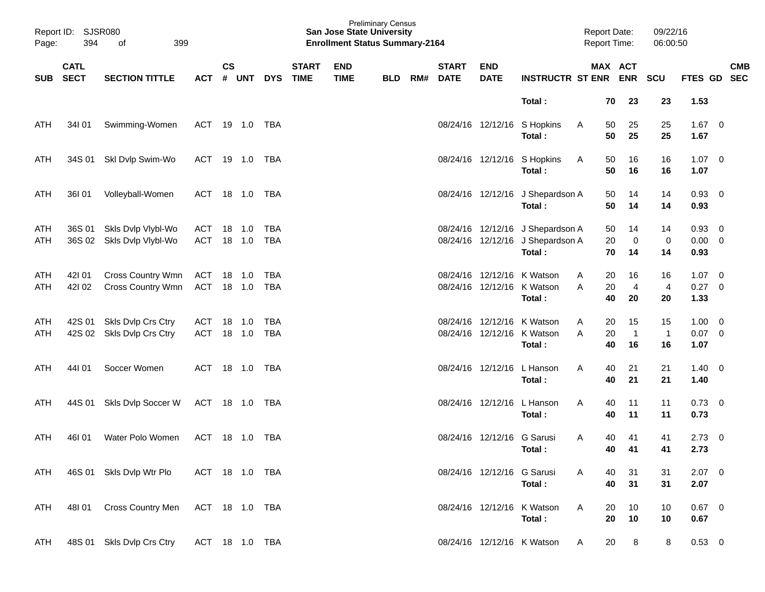| Page:             | Report ID: SJSR080<br>394<br>399<br>οf |                                                        |                |               |                  |                   |                             | <b>San Jose State University</b><br><b>Enrollment Status Summary-2164</b> | <b>Preliminary Census</b> |     |                             |                            |                                                                                |        | <b>Report Date:</b><br>Report Time: |                            | 09/22/16<br>06:00:50     |                                    |            |
|-------------------|----------------------------------------|--------------------------------------------------------|----------------|---------------|------------------|-------------------|-----------------------------|---------------------------------------------------------------------------|---------------------------|-----|-----------------------------|----------------------------|--------------------------------------------------------------------------------|--------|-------------------------------------|----------------------------|--------------------------|------------------------------------|------------|
| SUB               | <b>CATL</b><br><b>SECT</b>             | <b>SECTION TITTLE</b>                                  | <b>ACT</b>     | $\mathsf{cs}$ | # UNT            | <b>DYS</b>        | <b>START</b><br><b>TIME</b> | <b>END</b><br><b>TIME</b>                                                 | <b>BLD</b>                | RM# | <b>START</b><br><b>DATE</b> | <b>END</b><br><b>DATE</b>  | <b>INSTRUCTR ST ENR ENR</b>                                                    |        |                                     | MAX ACT                    | <b>SCU</b>               | FTES GD SEC                        | <b>CMB</b> |
|                   |                                        |                                                        |                |               |                  |                   |                             |                                                                           |                           |     |                             |                            | Total:                                                                         |        | 70                                  | 23                         | 23                       | 1.53                               |            |
| ATH               | 34101                                  | Swimming-Women                                         | ACT 19 1.0 TBA |               |                  |                   |                             |                                                                           |                           |     |                             |                            | 08/24/16 12/12/16 S Hopkins<br>Total:                                          | A      | 50<br>50                            | 25<br>25                   | 25<br>25                 | $1.67 \t 0$<br>1.67                |            |
| ATH               |                                        | 34S 01 Skl Dvlp Swim-Wo                                | ACT 19 1.0 TBA |               |                  |                   |                             |                                                                           |                           |     |                             |                            | 08/24/16 12/12/16 S Hopkins<br>Total:                                          | A      | 50<br>50                            | 16<br>16                   | 16<br>16                 | $1.07 \t 0$<br>1.07                |            |
| ATH               | 36I 01                                 | Volleyball-Women                                       | ACT 18 1.0     |               |                  | TBA               |                             |                                                                           |                           |     |                             |                            | 08/24/16 12/12/16 J Shepardson A<br>Total:                                     |        | 50<br>50                            | 14<br>14                   | 14<br>14                 | 0.93 0<br>0.93                     |            |
| ATH<br><b>ATH</b> |                                        | 36S 01 Skls Dvlp Vlybl-Wo<br>36S 02 Skls Dvlp Vlybl-Wo | ACT<br>ACT     |               | 18 1.0<br>18 1.0 | TBA<br>TBA        |                             |                                                                           |                           |     |                             |                            | 08/24/16 12/12/16 J Shepardson A<br>08/24/16 12/12/16 J Shepardson A<br>Total: |        | 50<br>20<br>70                      | 14<br>$\mathbf 0$<br>14    | 14<br>$\mathbf 0$<br>14  | 0.93 0<br>$0.00 \t 0$<br>0.93      |            |
| ATH<br><b>ATH</b> | 421 01<br>42102                        | Cross Country Wmn<br>Cross Country Wmn                 | ACT<br>ACT     |               | 18 1.0<br>18 1.0 | TBA<br>TBA        |                             |                                                                           |                           |     |                             |                            | 08/24/16 12/12/16 K Watson<br>08/24/16 12/12/16 K Watson<br>Total:             | A<br>A | 20<br>20<br>40                      | 16<br>$\overline{4}$<br>20 | 16<br>4<br>20            | $1.07 \t 0$<br>$0.27 \t 0$<br>1.33 |            |
| ATH<br>ATH        |                                        | 42S 01 Skls Dvlp Crs Ctry<br>42S 02 Skls Dvlp Crs Ctry | ACT<br>ACT     |               | 18 1.0<br>18 1.0 | <b>TBA</b><br>TBA |                             |                                                                           |                           |     |                             |                            | 08/24/16 12/12/16 K Watson<br>08/24/16 12/12/16 K Watson<br>Total:             | A<br>A | 20<br>20<br>40                      | 15<br>$\overline{1}$<br>16 | 15<br>$\mathbf{1}$<br>16 | $1.00 \t 0$<br>$0.07$ 0<br>1.07    |            |
| <b>ATH</b>        | 44101                                  | Soccer Women                                           | ACT            |               | 18  1.0          | TBA               |                             |                                                                           |                           |     |                             |                            | 08/24/16 12/12/16 L Hanson<br>Total:                                           | A      | 40<br>40                            | 21<br>21                   | 21<br>21                 | $1.40 \ 0$<br>1.40                 |            |
| ATH               |                                        | 44S 01 Skls Dvlp Soccer W                              | ACT 18 1.0 TBA |               |                  |                   |                             |                                                                           |                           |     |                             |                            | 08/24/16 12/12/16 L Hanson<br>Total:                                           | A      | 40<br>40                            | 11<br>11                   | 11<br>11                 | $0.73 \quad 0$<br>0.73             |            |
| <b>ATH</b>        | 46I 01                                 | Water Polo Women                                       | ACT            |               | 18 1.0           | TBA               |                             |                                                                           |                           |     |                             | 08/24/16 12/12/16          | G Sarusi<br>Total:                                                             | A      | 40<br>40                            | 41<br>41                   | 41<br>41                 | $2.73$ 0<br>2.73                   |            |
| ATH               |                                        | 46S 01 Skls Dvlp Wtr Plo                               | ACT 18 1.0 TBA |               |                  |                   |                             |                                                                           |                           |     |                             | 08/24/16 12/12/16 G Sarusi | Total:                                                                         | A      | 40<br>40                            | 31<br>31                   | 31<br>31                 | $2.07$ 0<br>2.07                   |            |
| ATH               | 48I 01                                 | Cross Country Men                                      | ACT 18 1.0 TBA |               |                  |                   |                             |                                                                           |                           |     |                             |                            | 08/24/16 12/12/16 K Watson<br>Total:                                           | A      | 20<br>20                            | 10<br>10                   | 10<br>10                 | $0.67$ 0<br>0.67                   |            |
| ATH               |                                        | 48S 01 Skls Dvlp Crs Ctry                              | ACT 18 1.0 TBA |               |                  |                   |                             |                                                                           |                           |     |                             |                            | 08/24/16 12/12/16 K Watson                                                     | A      | 20                                  | 8                          | 8                        | 0.53 0                             |            |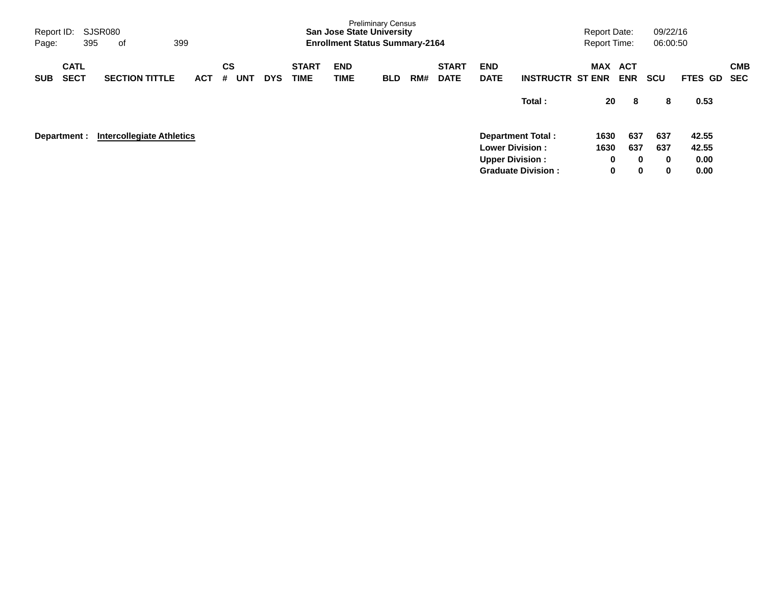| Report ID:<br>Page:                      | SJSR080<br>395<br>оf             | 399        |                              |            |                             | <b>San Jose State University</b><br><b>Enrollment Status Summary-2164</b> | <b>Preliminary Census</b> |     |                             |                                                  |                                                       | <b>Report Date:</b><br><b>Report Time:</b> |                                    | 09/22/16<br>06:00:50 |                                |                          |
|------------------------------------------|----------------------------------|------------|------------------------------|------------|-----------------------------|---------------------------------------------------------------------------|---------------------------|-----|-----------------------------|--------------------------------------------------|-------------------------------------------------------|--------------------------------------------|------------------------------------|----------------------|--------------------------------|--------------------------|
| <b>CATL</b><br><b>SECT</b><br><b>SUB</b> | <b>SECTION TITTLE</b>            | <b>ACT</b> | <b>CS</b><br><b>UNT</b><br># | <b>DYS</b> | <b>START</b><br><b>TIME</b> | <b>END</b><br>TIME                                                        | <b>BLD</b>                | RM# | <b>START</b><br><b>DATE</b> | <b>END</b><br><b>DATE</b>                        | <b>INSTRUCTR ST ENR</b>                               | MAX                                        | ACT<br><b>ENR</b>                  | <b>SCU</b>           | FTES GD                        | <b>CMB</b><br><b>SEC</b> |
|                                          |                                  |            |                              |            |                             |                                                                           |                           |     |                             |                                                  | Total:                                                | 20                                         | 8                                  | 8                    | 0.53                           |                          |
| Department :                             | <b>Intercollegiate Athletics</b> |            |                              |            |                             |                                                                           |                           |     |                             | <b>Lower Division:</b><br><b>Upper Division:</b> | <b>Department Total:</b><br><b>Graduate Division:</b> | 1630<br>1630<br>0<br>0                     | 637<br>637<br>$\bf{0}$<br>$\bf{0}$ | 637<br>637<br>0<br>0 | 42.55<br>42.55<br>0.00<br>0.00 |                          |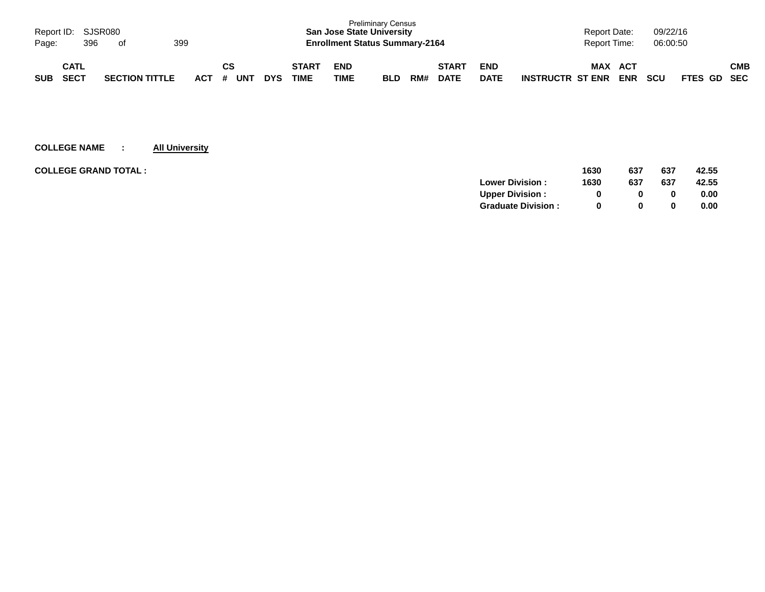|            | Report ID: SJSR080<br>399<br>396<br>Page:<br>of |  |                       |  |         |    |            |            |                      | <b>San Jose State University</b><br><b>Enrollment Status Summary-2164</b> | <b>Preliminary Census</b> |     |                             |                           |                         | Report Date:<br><b>Report Time:</b> |                          | 09/22/16<br>06:00:50 |             |     |
|------------|-------------------------------------------------|--|-----------------------|--|---------|----|------------|------------|----------------------|---------------------------------------------------------------------------|---------------------------|-----|-----------------------------|---------------------------|-------------------------|-------------------------------------|--------------------------|----------------------|-------------|-----|
| <b>SUB</b> | CATL<br><b>SECT</b>                             |  | <b>SECTION TITTLE</b> |  | $ACT$ # | СS | <b>UNT</b> | <b>DYS</b> | <b>START</b><br>TIME | <b>END</b><br>TIME                                                        | <b>BLD</b>                | RM# | <b>START</b><br><b>DATE</b> | <b>END</b><br><b>DATE</b> | <b>INSTRUCTR ST ENR</b> | <b>MAX</b>                          | <b>ACT</b><br><b>ENR</b> | <b>SCU</b>           | FTES GD SEC | СМВ |

| <b>COLLEGE GRAND TOTAL :</b> | 1630                           | 637 | 637 | 42.55 |
|------------------------------|--------------------------------|-----|-----|-------|
|                              | <b>Lower Division:</b><br>1630 | 637 | 637 | 42.55 |
|                              | <b>Upper Division:</b>         | 0   | 0   | 0.00  |
|                              | <b>Graduate Division:</b>      | 0   | 0   | 0.00  |
|                              |                                |     |     |       |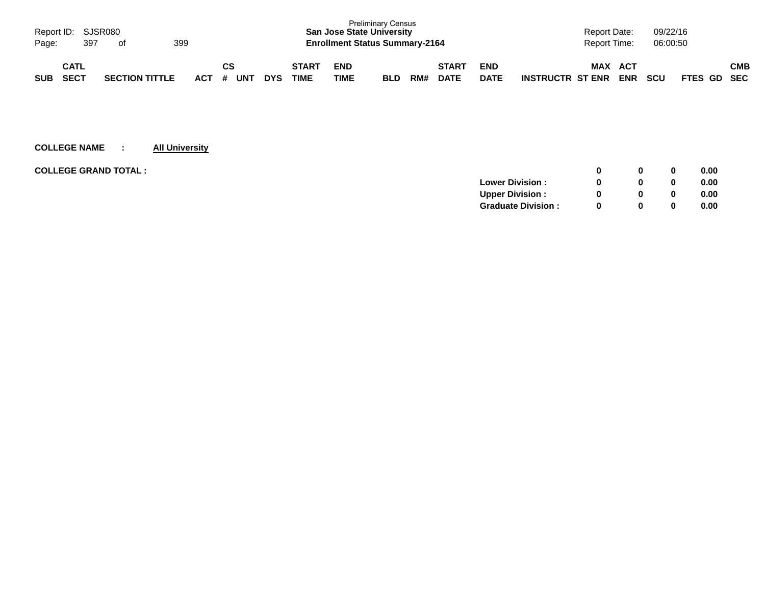| Page:      | Report ID: SJSR080<br>397  | of |                       | 399 |     |                |            |                             | <b>San Jose State University</b><br><b>Enrollment Status Summary-2164</b> | <b>Preliminary Census</b> |     |                             |                           |                         | <b>Report Date:</b><br>Report Time: |                   | 09/22/16<br>06:00:50 |             |     |
|------------|----------------------------|----|-----------------------|-----|-----|----------------|------------|-----------------------------|---------------------------------------------------------------------------|---------------------------|-----|-----------------------------|---------------------------|-------------------------|-------------------------------------|-------------------|----------------------|-------------|-----|
| <b>SUB</b> | <b>CATL</b><br><b>SECT</b> |    | <b>SECTION TITTLE</b> |     | ACT | СS<br>UN™<br># | <b>DYS</b> | <b>START</b><br><b>TIME</b> | <b>END</b><br>TIME                                                        | <b>BLD</b>                | RM# | <b>START</b><br><b>DATE</b> | <b>END</b><br><b>DATE</b> | <b>INSTRUCTR ST ENR</b> | <b>MAX</b>                          | ACT<br><b>ENR</b> | <b>SCU</b>           | FTES GD SEC | СМВ |

| <b>COLLEGE GRAND TOTAL:</b> |                           |          | 0        | 0.00 |
|-----------------------------|---------------------------|----------|----------|------|
|                             | <b>Lower Division:</b>    |          | $\bf{0}$ | 0.00 |
|                             | <b>Upper Division:</b>    |          | 0        | 0.00 |
|                             | <b>Graduate Division:</b> | $\Omega$ | 0        | 0.00 |
|                             |                           |          |          |      |